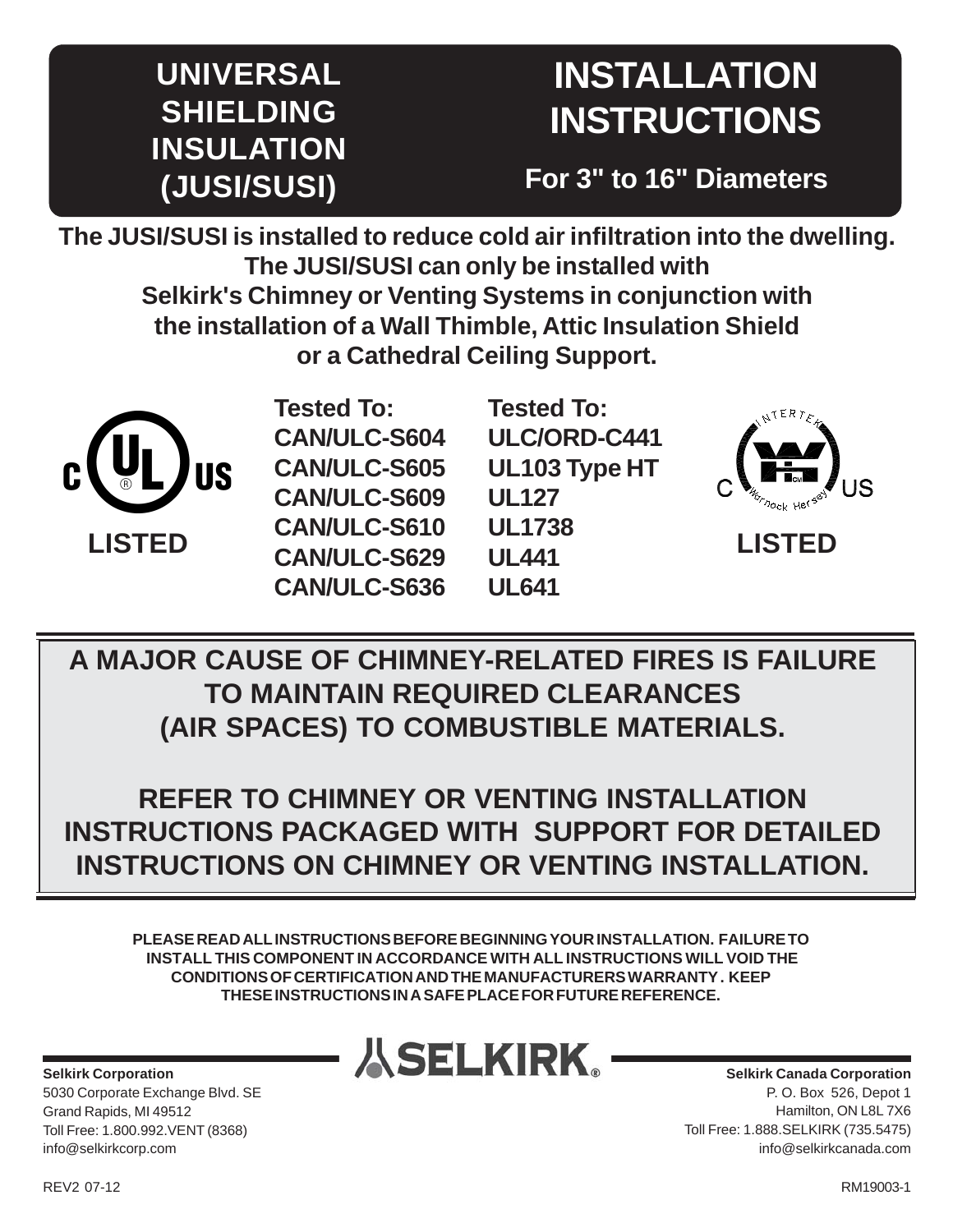# **UNIVERSAL SHIELDING INSULATION (JUSI/SUSI)**

# **INSTALLATION INSTRUCTIONS**

**For 3" to 16" Diameters**

**The JUSI/SUSI is installed to reduce cold air infiltration into the dwelling. The JUSI/SUSI can only be installed with Selkirk's Chimney or Venting Systems in conjunction with the installation of a Wall Thimble, Attic Insulation Shield or a Cathedral Ceiling Support.**



**Tested To: CAN/ULC-S604 CAN/ULC-S605 CAN/ULC-S609 CAN/ULC-S610 CAN/ULC-S629 CAN/ULC-S636** **Tested To: ULC/ORD-C441 UL103 Type HT UL127 UL1738 UL441 UL641**



**LISTED**

**A MAJOR CAUSE OF CHIMNEY-RELATED FIRES IS FAILURE TO MAINTAIN REQUIRED CLEARANCES (AIR SPACES) TO COMBUSTIBLE MATERIALS.**

**REFER TO CHIMNEY OR VENTING INSTALLATION INSTRUCTIONS PACKAGED WITH SUPPORT FOR DETAILED INSTRUCTIONS ON CHIMNEY OR VENTING INSTALLATION.**

**PLEASE READ ALL INSTRUCTIONS BEFORE BEGINNING YOUR INSTALLATION. FAILURE TO INSTALL THIS COMPONENT IN ACCORDANCE WITH ALL INSTRUCTIONS WILL VOID THE CONDITIONS OF CERTIFICATION AND THE MANUFACTURERS WARRANTY . KEEP THESE INSTRUCTIONS IN A SAFE PLACE FOR FUTURE REFERENCE.**

**Selkirk Corporation** 5030 Corporate Exchange Blvd. SE Grand Rapids, MI 49512 Toll Free: 1.800.992.VENT (8368) info@selkirkcorp.com



**Selkirk Canada Corporation** P. O. Box 526, Depot 1 Hamilton, ON L8L 7X6 Toll Free: 1.888.SELKIRK (735.5475) info@selkirkcanada.com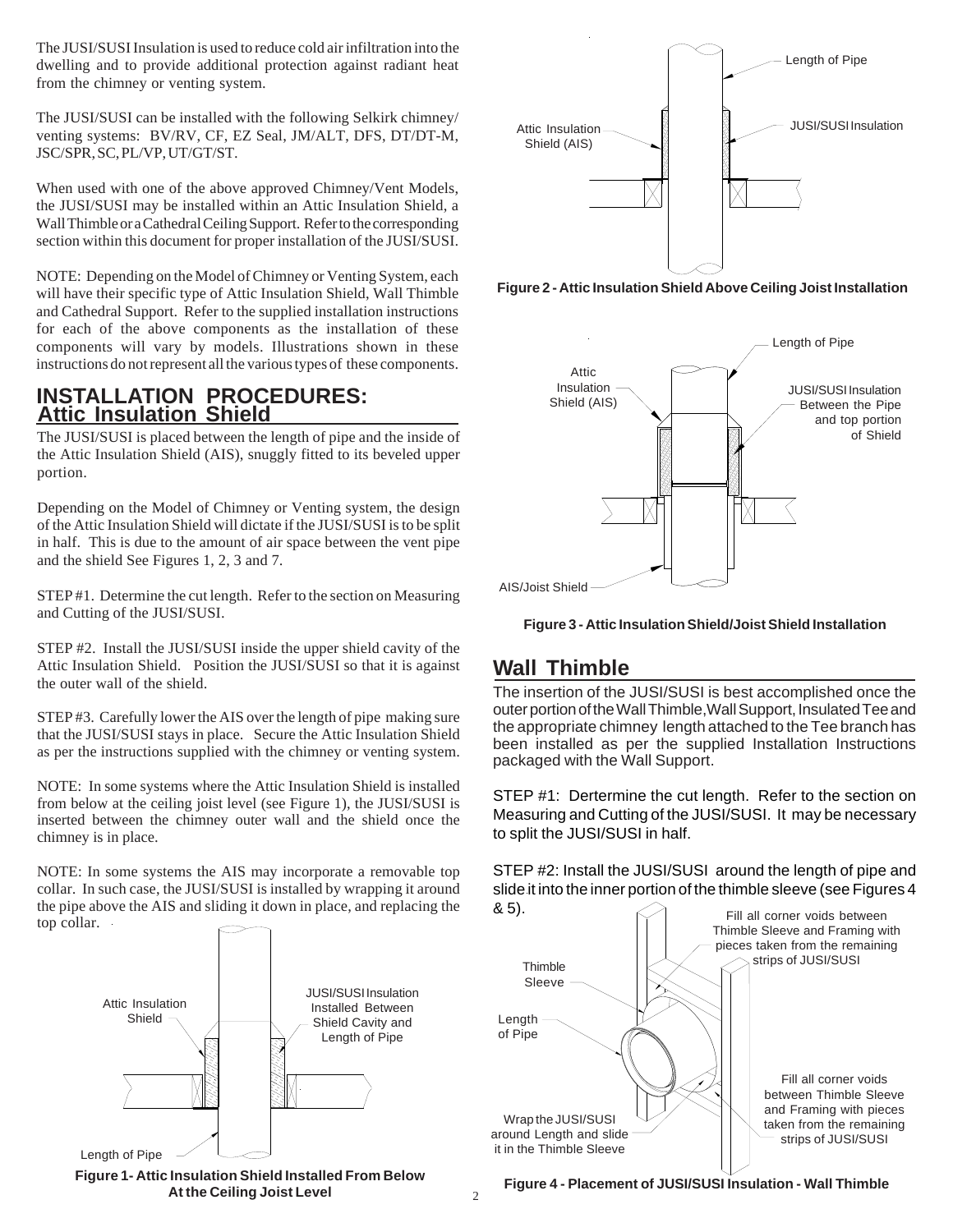The JUSI/SUSI Insulation is used to reduce cold air infiltration into the dwelling and to provide additional protection against radiant heat from the chimney or venting system.

The JUSI/SUSI can be installed with the following Selkirk chimney/ venting systems: BV/RV, CF, EZ Seal, JM/ALT, DFS, DT/DT-M, JSC/SPR, SC, PL/VP, UT/GT/ST.

When used with one of the above approved Chimney/Vent Models, the JUSI/SUSI may be installed within an Attic Insulation Shield, a Wall Thimble or a Cathedral Ceiling Support. Refer to the corresponding section within this document for proper installation of the JUSI/SUSI.

NOTE: Depending on the Model of Chimney or Venting System, each will have their specific type of Attic Insulation Shield, Wall Thimble and Cathedral Support. Refer to the supplied installation instructions for each of the above components as the installation of these components will vary by models. Illustrations shown in these instructions do not represent all the various types of these components.

#### **INSTALLATION PROCEDURES: Attic Insulation Shield**

The JUSI/SUSI is placed between the length of pipe and the inside of the Attic Insulation Shield (AIS), snuggly fitted to its beveled upper portion.

Depending on the Model of Chimney or Venting system, the design of the Attic Insulation Shield will dictate if the JUSI/SUSI is to be split in half. This is due to the amount of air space between the vent pipe and the shield See Figures 1, 2, 3 and 7.

STEP #1. Determine the cut length. Refer to the section on Measuring and Cutting of the JUSI/SUSI.

STEP #2. Install the JUSI/SUSI inside the upper shield cavity of the Attic Insulation Shield. Position the JUSI/SUSI so that it is against the outer wall of the shield.

STEP #3. Carefully lower the AIS over the length of pipe making sure that the JUSI/SUSI stays in place. Secure the Attic Insulation Shield as per the instructions supplied with the chimney or venting system.

NOTE: In some systems where the Attic Insulation Shield is installed from below at the ceiling joist level (see Figure 1), the JUSI/SUSI is inserted between the chimney outer wall and the shield once the chimney is in place.

NOTE: In some systems the AIS may incorporate a removable top collar. In such case, the JUSI/SUSI is installed by wrapping it around the pipe above the AIS and sliding it down in place, and replacing the top collar.



**Figure 1- Attic Insulation Shield Installed From Below At the Ceiling Joist Level**



**Figure 2 - Attic Insulation Shield Above Ceiling Joist Installation**





#### **Wall Thimble**

The insertion of the JUSI/SUSI is best accomplished once the outer portion of the Wall Thimble,Wall Support, Insulated Tee and the appropriate chimney length attached to the Tee branch has been installed as per the supplied Installation Instructions packaged with the Wall Support.

STEP #1: Dertermine the cut length. Refer to the section on Measuring and Cutting of the JUSI/SUSI. It may be necessary to split the JUSI/SUSI in half.

STEP #2: Install the JUSI/SUSI around the length of pipe and slide it into the inner portion of the thimble sleeve (see Figures 4



**Figure 4 - Placement of JUSI/SUSI Insulation - Wall Thimble**